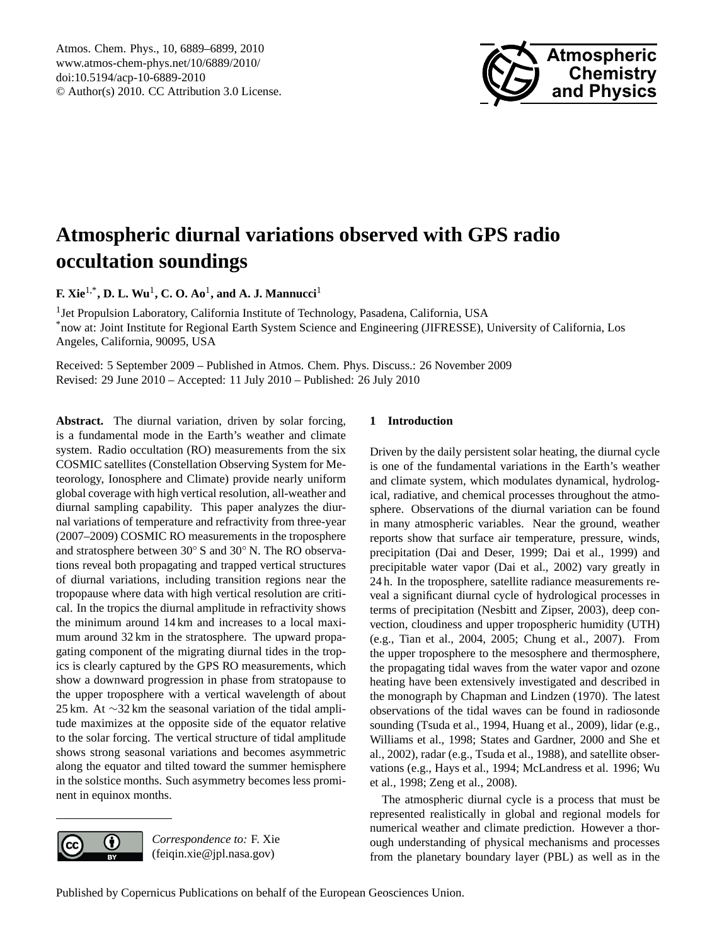

# <span id="page-0-0"></span>**Atmospheric diurnal variations observed with GPS radio occultation soundings**

**F. Xie<sup>1,\*</sup>, D. L. Wu<sup>1</sup>, C. O. Ao<sup>1</sup>, and A. J. Mannucci<sup>1</sup>** 

<sup>1</sup> Jet Propulsion Laboratory, California Institute of Technology, Pasadena, California, USA \*now at: Joint Institute for Regional Earth System Science and Engineering (JIFRESSE), University of California, Los Angeles, California, 90095, USA

Received: 5 September 2009 – Published in Atmos. Chem. Phys. Discuss.: 26 November 2009 Revised: 29 June 2010 – Accepted: 11 July 2010 – Published: 26 July 2010

**Abstract.** The diurnal variation, driven by solar forcing, is a fundamental mode in the Earth's weather and climate system. Radio occultation (RO) measurements from the six COSMIC satellites (Constellation Observing System for Meteorology, Ionosphere and Climate) provide nearly uniform global coverage with high vertical resolution, all-weather and diurnal sampling capability. This paper analyzes the diurnal variations of temperature and refractivity from three-year (2007–2009) COSMIC RO measurements in the troposphere and stratosphere between 30◦ S and 30◦ N. The RO observations reveal both propagating and trapped vertical structures of diurnal variations, including transition regions near the tropopause where data with high vertical resolution are critical. In the tropics the diurnal amplitude in refractivity shows the minimum around 14 km and increases to a local maximum around 32 km in the stratosphere. The upward propagating component of the migrating diurnal tides in the tropics is clearly captured by the GPS RO measurements, which show a downward progression in phase from stratopause to the upper troposphere with a vertical wavelength of about 25 km. At ∼32 km the seasonal variation of the tidal amplitude maximizes at the opposite side of the equator relative to the solar forcing. The vertical structure of tidal amplitude shows strong seasonal variations and becomes asymmetric along the equator and tilted toward the summer hemisphere in the solstice months. Such asymmetry becomes less prominent in equinox months.



*Correspondence to:* F. Xie (feiqin.xie@jpl.nasa.gov)

### **1 Introduction**

Driven by the daily persistent solar heating, the diurnal cycle is one of the fundamental variations in the Earth's weather and climate system, which modulates dynamical, hydrological, radiative, and chemical processes throughout the atmosphere. Observations of the diurnal variation can be found in many atmospheric variables. Near the ground, weather reports show that surface air temperature, pressure, winds, precipitation (Dai and Deser, 1999; Dai et al., 1999) and precipitable water vapor (Dai et al., 2002) vary greatly in 24 h. In the troposphere, satellite radiance measurements reveal a significant diurnal cycle of hydrological processes in terms of precipitation (Nesbitt and Zipser, 2003), deep convection, cloudiness and upper tropospheric humidity (UTH) (e.g., Tian et al., 2004, 2005; Chung et al., 2007). From the upper troposphere to the mesosphere and thermosphere, the propagating tidal waves from the water vapor and ozone heating have been extensively investigated and described in the monograph by Chapman and Lindzen (1970). The latest observations of the tidal waves can be found in radiosonde sounding (Tsuda et al., 1994, Huang et al., 2009), lidar (e.g., Williams et al., 1998; States and Gardner, 2000 and She et al., 2002), radar (e.g., Tsuda et al., 1988), and satellite observations (e.g., Hays et al., 1994; McLandress et al. 1996; Wu et al., 1998; Zeng et al., 2008).

The atmospheric diurnal cycle is a process that must be represented realistically in global and regional models for numerical weather and climate prediction. However a thorough understanding of physical mechanisms and processes from the planetary boundary layer (PBL) as well as in the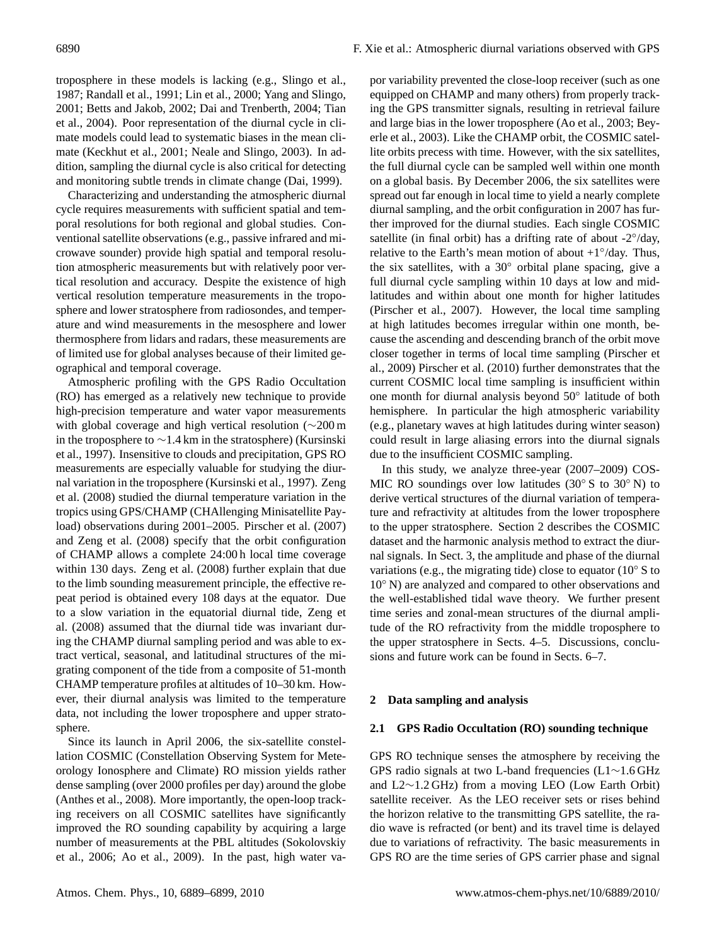troposphere in these models is lacking (e.g., Slingo et al., 1987; Randall et al., 1991; Lin et al., 2000; Yang and Slingo, 2001; Betts and Jakob, 2002; Dai and Trenberth, 2004; Tian et al., 2004). Poor representation of the diurnal cycle in climate models could lead to systematic biases in the mean climate (Keckhut et al., 2001; Neale and Slingo, 2003). In addition, sampling the diurnal cycle is also critical for detecting and monitoring subtle trends in climate change (Dai, 1999).

Characterizing and understanding the atmospheric diurnal cycle requires measurements with sufficient spatial and temporal resolutions for both regional and global studies. Conventional satellite observations (e.g., passive infrared and microwave sounder) provide high spatial and temporal resolution atmospheric measurements but with relatively poor vertical resolution and accuracy. Despite the existence of high vertical resolution temperature measurements in the troposphere and lower stratosphere from radiosondes, and temperature and wind measurements in the mesosphere and lower thermosphere from lidars and radars, these measurements are of limited use for global analyses because of their limited geographical and temporal coverage.

Atmospheric profiling with the GPS Radio Occultation (RO) has emerged as a relatively new technique to provide high-precision temperature and water vapor measurements with global coverage and high vertical resolution (∼200 m in the troposphere to ∼1.4 km in the stratosphere) (Kursinski et al., 1997). Insensitive to clouds and precipitation, GPS RO measurements are especially valuable for studying the diurnal variation in the troposphere (Kursinski et al., 1997). Zeng et al. (2008) studied the diurnal temperature variation in the tropics using GPS/CHAMP (CHAllenging Minisatellite Payload) observations during 2001–2005. Pirscher et al. (2007) and Zeng et al. (2008) specify that the orbit configuration of CHAMP allows a complete 24:00 h local time coverage within 130 days. Zeng et al. (2008) further explain that due to the limb sounding measurement principle, the effective repeat period is obtained every 108 days at the equator. Due to a slow variation in the equatorial diurnal tide, Zeng et al. (2008) assumed that the diurnal tide was invariant during the CHAMP diurnal sampling period and was able to extract vertical, seasonal, and latitudinal structures of the migrating component of the tide from a composite of 51-month CHAMP temperature profiles at altitudes of 10–30 km. However, their diurnal analysis was limited to the temperature data, not including the lower troposphere and upper stratosphere.

Since its launch in April 2006, the six-satellite constellation COSMIC (Constellation Observing System for Meteorology Ionosphere and Climate) RO mission yields rather dense sampling (over 2000 profiles per day) around the globe (Anthes et al., 2008). More importantly, the open-loop tracking receivers on all COSMIC satellites have significantly improved the RO sounding capability by acquiring a large number of measurements at the PBL altitudes (Sokolovskiy et al., 2006; Ao et al., 2009). In the past, high water vapor variability prevented the close-loop receiver (such as one equipped on CHAMP and many others) from properly tracking the GPS transmitter signals, resulting in retrieval failure and large bias in the lower troposphere (Ao et al., 2003; Beyerle et al., 2003). Like the CHAMP orbit, the COSMIC satellite orbits precess with time. However, with the six satellites, the full diurnal cycle can be sampled well within one month on a global basis. By December 2006, the six satellites were spread out far enough in local time to yield a nearly complete diurnal sampling, and the orbit configuration in 2007 has further improved for the diurnal studies. Each single COSMIC satellite (in final orbit) has a drifting rate of about -2°/day, relative to the Earth's mean motion of about  $+1°/day$ . Thus, the six satellites, with a 30◦ orbital plane spacing, give a full diurnal cycle sampling within 10 days at low and midlatitudes and within about one month for higher latitudes (Pirscher et al., 2007). However, the local time sampling at high latitudes becomes irregular within one month, because the ascending and descending branch of the orbit move closer together in terms of local time sampling (Pirscher et al., 2009) Pirscher et al. (2010) further demonstrates that the current COSMIC local time sampling is insufficient within one month for diurnal analysis beyond 50◦ latitude of both hemisphere. In particular the high atmospheric variability (e.g., planetary waves at high latitudes during winter season) could result in large aliasing errors into the diurnal signals due to the insufficient COSMIC sampling.

In this study, we analyze three-year (2007–2009) COS-MIC RO soundings over low latitudes (30 $\degree$  S to 30 $\degree$  N) to derive vertical structures of the diurnal variation of temperature and refractivity at altitudes from the lower troposphere to the upper stratosphere. Section 2 describes the COSMIC dataset and the harmonic analysis method to extract the diurnal signals. In Sect. 3, the amplitude and phase of the diurnal variations (e.g., the migrating tide) close to equator (10◦ S to 10◦ N) are analyzed and compared to other observations and the well-established tidal wave theory. We further present time series and zonal-mean structures of the diurnal amplitude of the RO refractivity from the middle troposphere to the upper stratosphere in Sects. 4–5. Discussions, conclusions and future work can be found in Sects. 6–7.

#### **2 Data sampling and analysis**

#### **2.1 GPS Radio Occultation (RO) sounding technique**

GPS RO technique senses the atmosphere by receiving the GPS radio signals at two L-band frequencies (L1∼1.6 GHz and L2∼1.2 GHz) from a moving LEO (Low Earth Orbit) satellite receiver. As the LEO receiver sets or rises behind the horizon relative to the transmitting GPS satellite, the radio wave is refracted (or bent) and its travel time is delayed due to variations of refractivity. The basic measurements in GPS RO are the time series of GPS carrier phase and signal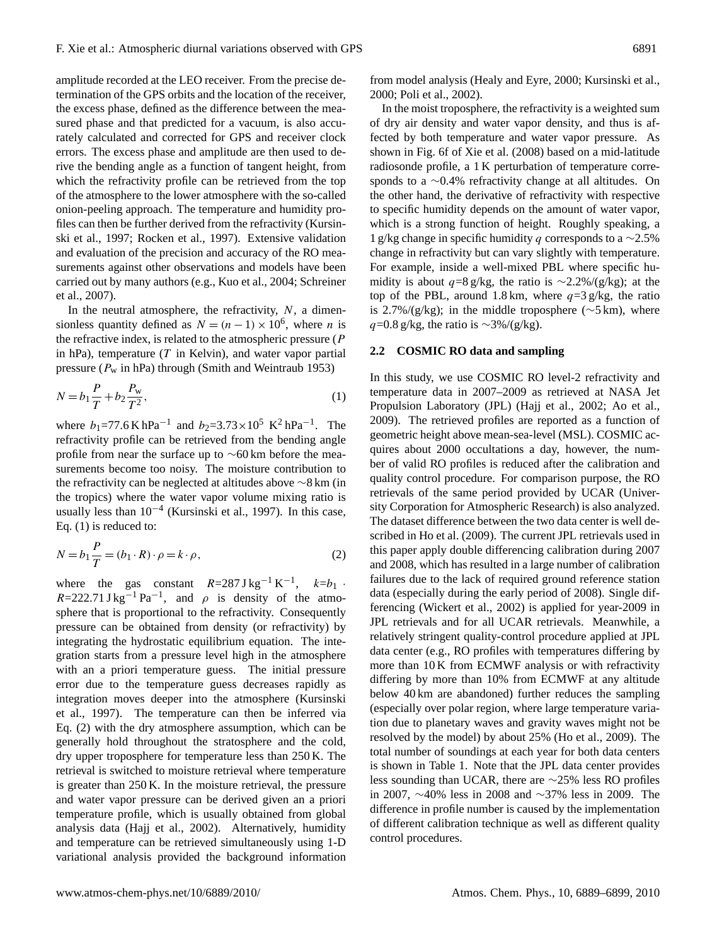amplitude recorded at the LEO receiver. From the precise determination of the GPS orbits and the location of the receiver, the excess phase, defined as the difference between the measured phase and that predicted for a vacuum, is also accurately calculated and corrected for GPS and receiver clock errors. The excess phase and amplitude are then used to derive the bending angle as a function of tangent height, from which the refractivity profile can be retrieved from the top of the atmosphere to the lower atmosphere with the so-called onion-peeling approach. The temperature and humidity profiles can then be further derived from the refractivity (Kursinski et al., 1997; Rocken et al., 1997). Extensive validation and evaluation of the precision and accuracy of the RO measurements against other observations and models have been carried out by many authors (e.g., Kuo et al., 2004; Schreiner et al., 2007).

In the neutral atmosphere, the refractivity,  $N$ , a dimensionless quantity defined as  $N = (n - 1) \times 10^6$ , where *n* is the refractive index, is related to the atmospheric pressure  $(P)$ in hPa), temperature  $(T$  in Kelvin), and water vapor partial pressure ( $P_w$  in hPa) through (Smith and Weintraub 1953)

$$
N = b_1 \frac{P}{T} + b_2 \frac{P_w}{T^2},
$$
\n(1)

where  $b_1$ =77.6 K hPa<sup>-1</sup> and  $b_2$ =3.73 × 10<sup>5</sup> K<sup>2</sup> hPa<sup>-1</sup>. The refractivity profile can be retrieved from the bending angle profile from near the surface up to ∼60 km before the measurements become too noisy. The moisture contribution to the refractivity can be neglected at altitudes above ∼8 km (in the tropics) where the water vapor volume mixing ratio is usually less than  $10^{-4}$  (Kursinski et al., 1997). In this case, Eq. (1) is reduced to:

$$
N = b_1 \frac{P}{T} = (b_1 \cdot R) \cdot \rho = k \cdot \rho,
$$
\n(2)

where the gas constant  $R=287 \text{ J kg}^{-1} \text{ K}^{-1}$ ,  $k=b_1$ .  $R=222.71 \text{ J kg}^{-1} \text{ Pa}^{-1}$ , and  $\rho$  is density of the atmosphere that is proportional to the refractivity. Consequently pressure can be obtained from density (or refractivity) by integrating the hydrostatic equilibrium equation. The integration starts from a pressure level high in the atmosphere with an a priori temperature guess. The initial pressure error due to the temperature guess decreases rapidly as integration moves deeper into the atmosphere (Kursinski et al., 1997). The temperature can then be inferred via Eq. (2) with the dry atmosphere assumption, which can be generally hold throughout the stratosphere and the cold, dry upper troposphere for temperature less than 250 K. The retrieval is switched to moisture retrieval where temperature is greater than 250 K. In the moisture retrieval, the pressure and water vapor pressure can be derived given an a priori temperature profile, which is usually obtained from global analysis data (Hajj et al., 2002). Alternatively, humidity and temperature can be retrieved simultaneously using 1-D variational analysis provided the background information

from model analysis (Healy and Eyre, 2000; Kursinski et al., 2000; Poli et al., 2002).

In the moist troposphere, the refractivity is a weighted sum of dry air density and water vapor density, and thus is affected by both temperature and water vapor pressure. As shown in Fig. 6f of Xie et al. (2008) based on a mid-latitude radiosonde profile, a 1 K perturbation of temperature corresponds to a ∼0.4% refractivity change at all altitudes. On the other hand, the derivative of refractivity with respective to specific humidity depends on the amount of water vapor, which is a strong function of height. Roughly speaking, a 1 g/kg change in specific humidity q corresponds to a  $\sim$ 2.5% change in refractivity but can vary slightly with temperature. For example, inside a well-mixed PBL where specific humidity is about  $q=8$  g/kg, the ratio is ~2.2%/(g/kg); at the top of the PBL, around 1.8 km, where  $q=3$  g/kg, the ratio is 2.7%/(g/kg); in the middle troposphere (∼5 km), where  $q=0.8$  g/kg, the ratio is ∼3%/(g/kg).

#### **2.2 COSMIC RO data and sampling**

In this study, we use COSMIC RO level-2 refractivity and temperature data in 2007–2009 as retrieved at NASA Jet Propulsion Laboratory (JPL) (Hajj et al., 2002; Ao et al., 2009). The retrieved profiles are reported as a function of geometric height above mean-sea-level (MSL). COSMIC acquires about 2000 occultations a day, however, the number of valid RO profiles is reduced after the calibration and quality control procedure. For comparison purpose, the RO retrievals of the same period provided by UCAR (University Corporation for Atmospheric Research) is also analyzed. The dataset difference between the two data center is well described in Ho et al. (2009). The current JPL retrievals used in this paper apply double differencing calibration during 2007 and 2008, which has resulted in a large number of calibration failures due to the lack of required ground reference station data (especially during the early period of 2008). Single differencing (Wickert et al., 2002) is applied for year-2009 in JPL retrievals and for all UCAR retrievals. Meanwhile, a relatively stringent quality-control procedure applied at JPL data center (e.g., RO profiles with temperatures differing by more than 10 K from ECMWF analysis or with refractivity differing by more than 10% from ECMWF at any altitude below 40 km are abandoned) further reduces the sampling (especially over polar region, where large temperature variation due to planetary waves and gravity waves might not be resolved by the model) by about 25% (Ho et al., 2009). The total number of soundings at each year for both data centers is shown in Table 1. Note that the JPL data center provides less sounding than UCAR, there are ∼25% less RO profiles in 2007, ∼40% less in 2008 and ∼37% less in 2009. The difference in profile number is caused by the implementation of different calibration technique as well as different quality control procedures.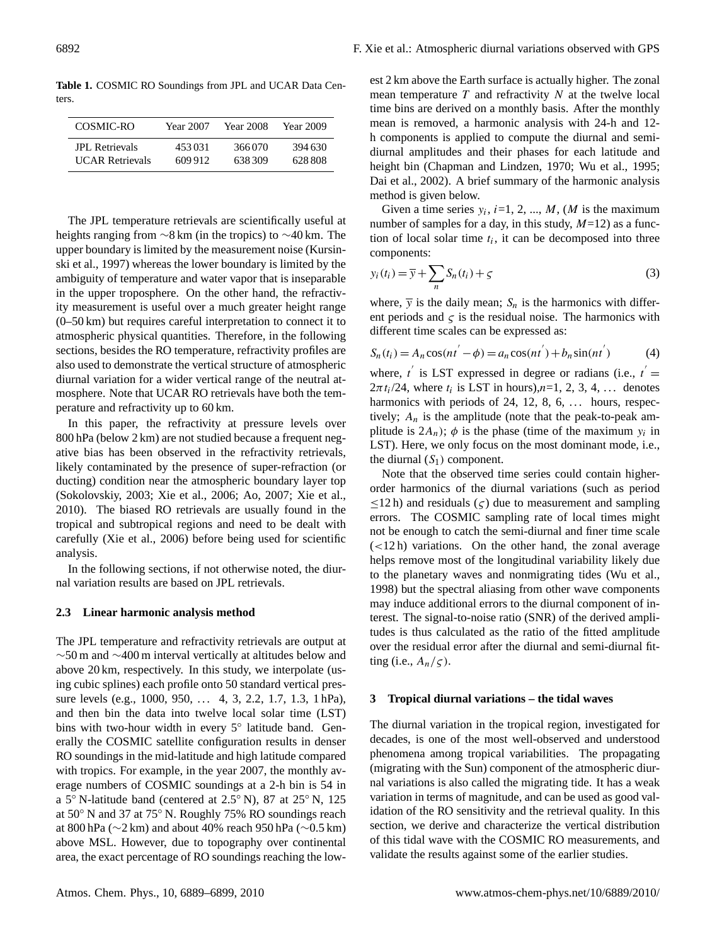**Table 1.** COSMIC RO Soundings from JPL and UCAR Data Centers.

| COSMIC-RO              | Year 2007 | Year 2008 | Year 2009 |
|------------------------|-----------|-----------|-----------|
| <b>JPL</b> Retrievals  | 453031    | 366070    | 394.630   |
| <b>UCAR Retrievals</b> | 609912    | 638309    | 628.808   |

The JPL temperature retrievals are scientifically useful at heights ranging from ∼8 km (in the tropics) to ∼40 km. The upper boundary is limited by the measurement noise (Kursinski et al., 1997) whereas the lower boundary is limited by the ambiguity of temperature and water vapor that is inseparable in the upper troposphere. On the other hand, the refractivity measurement is useful over a much greater height range (0–50 km) but requires careful interpretation to connect it to atmospheric physical quantities. Therefore, in the following sections, besides the RO temperature, refractivity profiles are also used to demonstrate the vertical structure of atmospheric diurnal variation for a wider vertical range of the neutral atmosphere. Note that UCAR RO retrievals have both the temperature and refractivity up to 60 km.

In this paper, the refractivity at pressure levels over 800 hPa (below 2 km) are not studied because a frequent negative bias has been observed in the refractivity retrievals, likely contaminated by the presence of super-refraction (or ducting) condition near the atmospheric boundary layer top (Sokolovskiy, 2003; Xie et al., 2006; Ao, 2007; Xie et al., 2010). The biased RO retrievals are usually found in the tropical and subtropical regions and need to be dealt with carefully (Xie et al., 2006) before being used for scientific analysis.

In the following sections, if not otherwise noted, the diurnal variation results are based on JPL retrievals.

#### **2.3 Linear harmonic analysis method**

The JPL temperature and refractivity retrievals are output at ∼50 m and ∼400 m interval vertically at altitudes below and above 20 km, respectively. In this study, we interpolate (using cubic splines) each profile onto 50 standard vertical pressure levels (e.g., 1000, 950, ... 4, 3, 2.2, 1.7, 1.3, 1 hPa), and then bin the data into twelve local solar time (LST) bins with two-hour width in every 5◦ latitude band. Generally the COSMIC satellite configuration results in denser RO soundings in the mid-latitude and high latitude compared with tropics. For example, in the year 2007, the monthly average numbers of COSMIC soundings at a 2-h bin is 54 in a 5◦ N-latitude band (centered at 2.5◦ N), 87 at 25◦ N, 125 at 50◦ N and 37 at 75◦ N. Roughly 75% RO soundings reach at 800 hPa (∼2 km) and about 40% reach 950 hPa (∼0.5 km) above MSL. However, due to topography over continental area, the exact percentage of RO soundings reaching the lowest 2 km above the Earth surface is actually higher. The zonal mean temperature  $T$  and refractivity  $N$  at the twelve local time bins are derived on a monthly basis. After the monthly mean is removed, a harmonic analysis with 24-h and 12 h components is applied to compute the diurnal and semidiurnal amplitudes and their phases for each latitude and height bin (Chapman and Lindzen, 1970; Wu et al., 1995; Dai et al., 2002). A brief summary of the harmonic analysis method is given below.

Given a time series  $y_i$ ,  $i=1, 2, ..., M$ , (*M* is the maximum number of samples for a day, in this study,  $M=12$ ) as a function of local solar time  $t_i$ , it can be decomposed into three components:

$$
y_i(t_i) = \overline{y} + \sum_n S_n(t_i) + \varsigma
$$
\n(3)

where,  $\overline{y}$  is the daily mean;  $S_n$  is the harmonics with different periods and  $\varsigma$  is the residual noise. The harmonics with different time scales can be expressed as:

$$
S_n(t_i) = A_n \cos(nt' - \phi) = a_n \cos(nt') + b_n \sin(nt')
$$
 (4)

where,  $t'$  is LST expressed in degree or radians (i.e.,  $t' =$  $2\pi t_i/24$ , where  $t_i$  is LST in hours), $n=1, 2, 3, 4, \ldots$  denotes harmonics with periods of 24, 12, 8, 6,  $\dots$  hours, respectively;  $A_n$  is the amplitude (note that the peak-to-peak amplitude is  $2A_n$ );  $\phi$  is the phase (time of the maximum  $y_i$  in LST). Here, we only focus on the most dominant mode, i.e., the diurnal  $(S_1)$  component.

Note that the observed time series could contain higherorder harmonics of the diurnal variations (such as period  $\leq$ 12 h) and residuals ( $\varsigma$ ) due to measurement and sampling errors. The COSMIC sampling rate of local times might not be enough to catch the semi-diurnal and finer time scale  $(<12 h)$  variations. On the other hand, the zonal average helps remove most of the longitudinal variability likely due to the planetary waves and nonmigrating tides (Wu et al., 1998) but the spectral aliasing from other wave components may induce additional errors to the diurnal component of interest. The signal-to-noise ratio (SNR) of the derived amplitudes is thus calculated as the ratio of the fitted amplitude over the residual error after the diurnal and semi-diurnal fitting (i.e.,  $A_n/\varsigma$ ).

#### **3 Tropical diurnal variations – the tidal waves**

The diurnal variation in the tropical region, investigated for decades, is one of the most well-observed and understood phenomena among tropical variabilities. The propagating (migrating with the Sun) component of the atmospheric diurnal variations is also called the migrating tide. It has a weak variation in terms of magnitude, and can be used as good validation of the RO sensitivity and the retrieval quality. In this section, we derive and characterize the vertical distribution of this tidal wave with the COSMIC RO measurements, and validate the results against some of the earlier studies.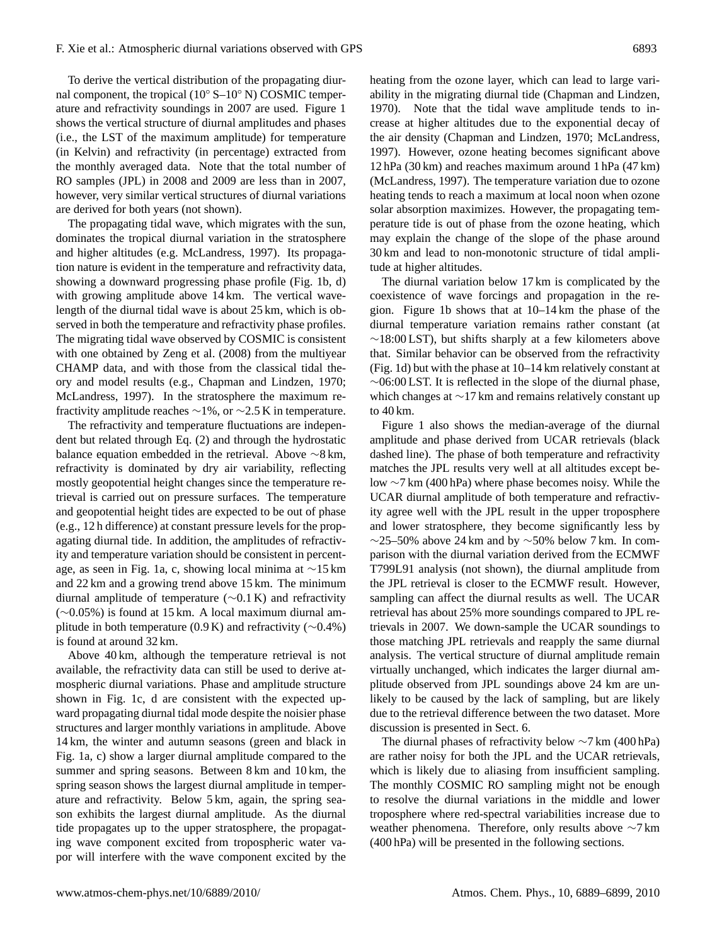To derive the vertical distribution of the propagating diurnal component, the tropical (10◦ S–10◦ N) COSMIC temperature and refractivity soundings in 2007 are used. Figure 1 shows the vertical structure of diurnal amplitudes and phases (i.e., the LST of the maximum amplitude) for temperature (in Kelvin) and refractivity (in percentage) extracted from the monthly averaged data. Note that the total number of RO samples (JPL) in 2008 and 2009 are less than in 2007, however, very similar vertical structures of diurnal variations are derived for both years (not shown).

The propagating tidal wave, which migrates with the sun, dominates the tropical diurnal variation in the stratosphere and higher altitudes (e.g. McLandress, 1997). Its propagation nature is evident in the temperature and refractivity data, showing a downward progressing phase profile (Fig. 1b, d) with growing amplitude above 14 km. The vertical wavelength of the diurnal tidal wave is about 25 km, which is observed in both the temperature and refractivity phase profiles. The migrating tidal wave observed by COSMIC is consistent with one obtained by Zeng et al. (2008) from the multiyear CHAMP data, and with those from the classical tidal theory and model results (e.g., Chapman and Lindzen, 1970; McLandress, 1997). In the stratosphere the maximum refractivity amplitude reaches  $\sim$ 1%, or  $\sim$ 2.5 K in temperature.

The refractivity and temperature fluctuations are independent but related through Eq. (2) and through the hydrostatic balance equation embedded in the retrieval. Above ∼8 km, refractivity is dominated by dry air variability, reflecting mostly geopotential height changes since the temperature retrieval is carried out on pressure surfaces. The temperature and geopotential height tides are expected to be out of phase (e.g., 12 h difference) at constant pressure levels for the propagating diurnal tide. In addition, the amplitudes of refractivity and temperature variation should be consistent in percentage, as seen in Fig. 1a, c, showing local minima at ∼15 km and 22 km and a growing trend above 15 km. The minimum diurnal amplitude of temperature (∼0.1 K) and refractivity (∼0.05%) is found at 15 km. A local maximum diurnal amplitude in both temperature (0.9 K) and refractivity ( $\sim$ 0.4%) is found at around 32 km.

Above 40 km, although the temperature retrieval is not available, the refractivity data can still be used to derive atmospheric diurnal variations. Phase and amplitude structure shown in Fig. 1c, d are consistent with the expected upward propagating diurnal tidal mode despite the noisier phase structures and larger monthly variations in amplitude. Above 14 km, the winter and autumn seasons (green and black in Fig. 1a, c) show a larger diurnal amplitude compared to the summer and spring seasons. Between 8 km and 10 km, the spring season shows the largest diurnal amplitude in temperature and refractivity. Below 5 km, again, the spring season exhibits the largest diurnal amplitude. As the diurnal tide propagates up to the upper stratosphere, the propagating wave component excited from tropospheric water vapor will interfere with the wave component excited by the heating from the ozone layer, which can lead to large variability in the migrating diurnal tide (Chapman and Lindzen, 1970). Note that the tidal wave amplitude tends to increase at higher altitudes due to the exponential decay of the air density (Chapman and Lindzen, 1970; McLandress, 1997). However, ozone heating becomes significant above 12 hPa (30 km) and reaches maximum around 1 hPa (47 km) (McLandress, 1997). The temperature variation due to ozone heating tends to reach a maximum at local noon when ozone solar absorption maximizes. However, the propagating temperature tide is out of phase from the ozone heating, which may explain the change of the slope of the phase around 30 km and lead to non-monotonic structure of tidal amplitude at higher altitudes.

The diurnal variation below 17 km is complicated by the coexistence of wave forcings and propagation in the region. Figure 1b shows that at 10–14 km the phase of the diurnal temperature variation remains rather constant (at  $\sim$ 18:00 LST), but shifts sharply at a few kilometers above that. Similar behavior can be observed from the refractivity (Fig. 1d) but with the phase at 10–14 km relatively constant at ∼06:00 LST. It is reflected in the slope of the diurnal phase, which changes at ∼17 km and remains relatively constant up to 40 km.

Figure 1 also shows the median-average of the diurnal amplitude and phase derived from UCAR retrievals (black dashed line). The phase of both temperature and refractivity matches the JPL results very well at all altitudes except below ∼7 km (400 hPa) where phase becomes noisy. While the UCAR diurnal amplitude of both temperature and refractivity agree well with the JPL result in the upper troposphere and lower stratosphere, they become significantly less by  $∼25–50\%$  above 24 km and by  $~\sim$ 50% below 7 km. In comparison with the diurnal variation derived from the ECMWF T799L91 analysis (not shown), the diurnal amplitude from the JPL retrieval is closer to the ECMWF result. However, sampling can affect the diurnal results as well. The UCAR retrieval has about 25% more soundings compared to JPL retrievals in 2007. We down-sample the UCAR soundings to those matching JPL retrievals and reapply the same diurnal analysis. The vertical structure of diurnal amplitude remain virtually unchanged, which indicates the larger diurnal amplitude observed from JPL soundings above 24 km are unlikely to be caused by the lack of sampling, but are likely due to the retrieval difference between the two dataset. More discussion is presented in Sect. 6.

The diurnal phases of refractivity below ∼7 km (400 hPa) are rather noisy for both the JPL and the UCAR retrievals, which is likely due to aliasing from insufficient sampling. The monthly COSMIC RO sampling might not be enough to resolve the diurnal variations in the middle and lower troposphere where red-spectral variabilities increase due to weather phenomena. Therefore, only results above ∼7 km (400 hPa) will be presented in the following sections.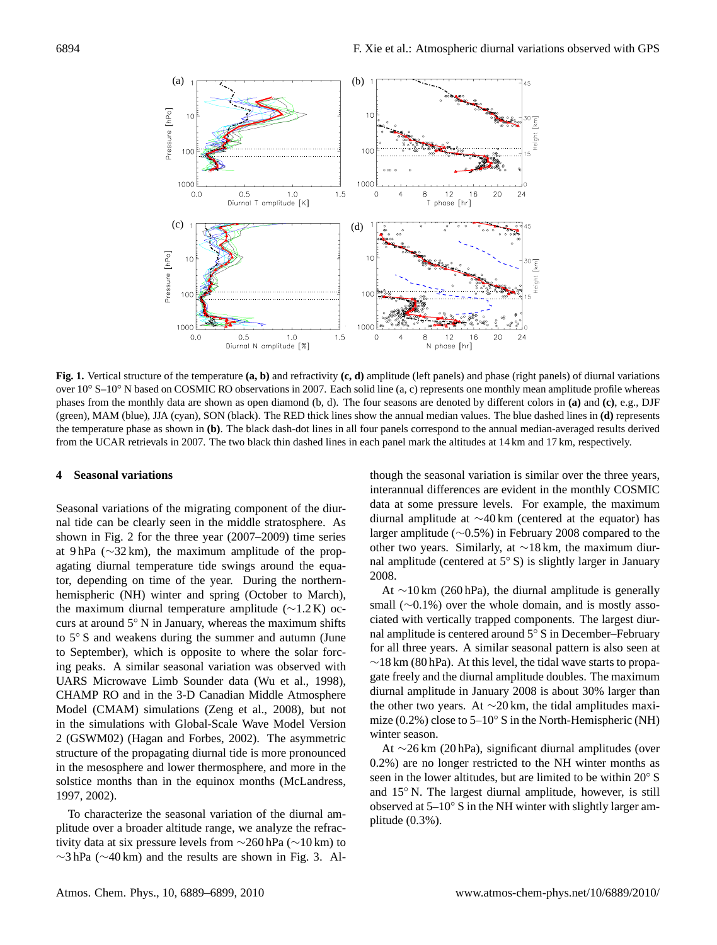

Fig. 1. Vertical structure of the temperature  $(a, b)$  and refractivity  $(c, d)$  amplitude (left panels) and phase (right panels) of diurnal variations<br>given 10% S, 10% N based on COSMIC BO ebservations in 2007. Eash solid li phases from the monthly data are shown as open diamond (b, d). The four seasons are denoted by different colors in (a) and (c), e.g., DJF (green), MAM (blue), JJA (cyan), SON (black). The RED thick lines show the annual median values. The blue dashed lines in (d) represents the temperature phase as shown in the temperature phase as shown in all four particular values. The black dashed mes in (**u**) the all for the annual median-averaged results derived by the annual median-averaged results der the temperature phase as shown in (b). The black dash-dot lines in all four panels correspond to the annual median-averaged results derived over 10◦ S–10◦ N based on COSMIC RO observations in 2007. Each solid line (a, c) represents one monthly mean amplitude profile whereas from the UCAR retrievals in 2007. The two black thin dashed lines in each panel mark the altitudes at 14 km and 17 km, respectively.

## **4 Seasonal variations 4 Seasonal variations**

Seasonal variations of the migrating component of the diurnal tide can be clearly seen in the middle stratosphere. As shown in Fig. 2 for the three year  $(2007–2009)$  time series at 9 hPa (∼32 km), the maximum amplitude of the propagating diurnal temperature tide swings around the equator, depending on time of the year. During the northernhemispheric (NH) winter and spring (October to March), the maximum diurnal temperature amplitude (∼1.2 K) occurs at around  $5°$  N in January, whereas the maximum shifts to 5° S and weakens during the summer and autumn (June to September), which is opposite to where the solar forcing peaks. A similar seasonal variation was observed with UARS Microwave Limb Sounder data (Wu et al., 1998), CHAMP RO and in the 3-D Canadian Middle Atmosphere Model (CMAM) simulations (Zeng et al., 2008), but not in the simulations with Global-Scale Wave Model Version 2 (GSWM02) (Hagan and Forbes, 2002). The asymmetric structure of the propagating diurnal tide is more pronounced in the mesosphere and lower thermosphere, and more in the 1997, 2003). The interesting terms of the interesting method in the solstice months than in the equinox months (McLandress,  $1997, 2002$ ).

 $\overline{T}$  above the process location of the discussed To characterize the seasonal variation of the diurnal amplitude over a broader altitude range, we analyze the refrac-<br>plitude over a broader altitude range, we analyze the refractivity data at six pressure levels from ∼260 hPa (∼10 km) to  $\sim$ 3 hPa ( $\sim$ 40 km) and the results are shown in Fig. 3. Al-

though the seasonal variation is similar over the three years, though the seasonal variation is similar over the three years, interannual differences are evident in the monthly COSMIC data at some pressure levels. For example, the maximum diurnal amplitude at ∼40 km (centered at the equator) has larger amplitude (∼0.5%) in February 2008 compared to the other two years. Similarly, at  $\sim$ 18 km, the maximum diurnal amplitude (centered at  $5°$  S) is slightly larger in January  $2008.$ 2008.

At ∼10 km (260 hPa), the diurnal amplitude is generally small ( $∼0.1\%)$  over the whole domain, and is mostly associated with vertically trapped components. The largest diurnal amplitude is centered around  $5°$  S in December–February for all three years. A similar seasonal pattern is also seen at  $\sim$ 18 km (80 hPa). At this level, the tidal wave starts to propagate freely and the diurnal amplitude doubles. The maximum diurnal amplitude in January 2008 is about 30% larger than the other two years. At  $\sim$ 20 km, the tidal amplitudes maximize (0.2%) close to  $5-10°$  S in the North-Hemispheric (NH) winter season.

At ∼26 km (20 hPa), significant diurnal amplitudes (over seen in the lower altitudes, but are limited to be within 20◦ S 0.2%) are no longer restricted to the NH winter months as seen in the lower altitudes, but are limited to be within  $20^\circ$  S seen in the rower annualisty, our are infinited to be width  $25^{\circ}$  by and  $15^{\circ}$  N. The largest diurnal amplitude, however, is still observed at  $5-10°$  S in the NH winter with slightly larger amplitude (0.3%).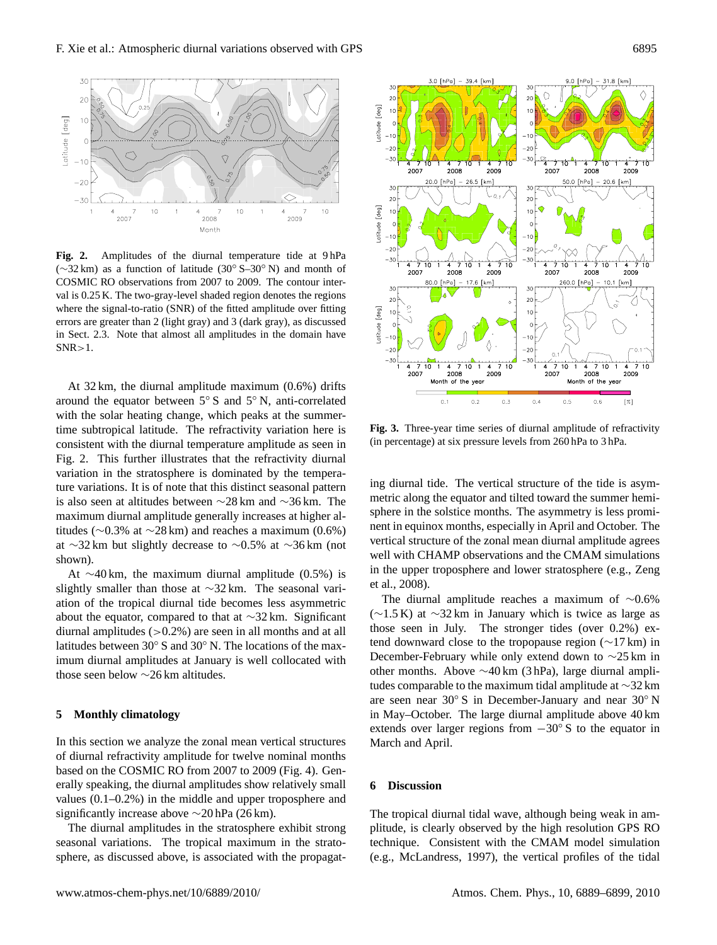

**Fig. 2.** Amplitudes of the diurnal temperature tide at 9 hPa (∼32 km) as a function of latitude (30◦ S–30◦ N) and month of COSMIC RO observations from 2007 to 2009. The contour interval is 0.25 K. The two-gray-level shaded region denotes the regions where the signal-to-ratio (SNR) of the fitted amplitude over fitting errors are greater than 2 (light gray) and 3 (dark gray), as discussed in Sect. 2.3. Note that almost all amplitudes in the domain have  $SNR > 1$ .

At 32 km, the diurnal amplitude maximum (0.6%) drifts around the equator between 5◦ S and 5◦ N, anti-correlated with the solar heating change, which peaks at the summertime subtropical latitude. The refractivity variation here is consistent with the diurnal temperature amplitude as seen in Fig. 2. This further illustrates that the refractivity diurnal variation in the stratosphere is dominated by the temperature variations. It is of note that this distinct seasonal pattern is also seen at altitudes between ∼28 km and ∼36 km. The maximum diurnal amplitude generally increases at higher altitudes ( $\sim$ 0.3% at  $\sim$ 28 km) and reaches a maximum (0.6%) at ∼32 km but slightly decrease to ∼0.5% at ∼36 km (not shown).

At  $\sim$ 40 km, the maximum diurnal amplitude (0.5%) is slightly smaller than those at ∼32 km. The seasonal variation of the tropical diurnal tide becomes less asymmetric about the equator, compared to that at ∼32 km. Significant diurnal amplitudes  $(>0.2\%)$  are seen in all months and at all latitudes between 30◦ S and 30◦ N. The locations of the maximum diurnal amplitudes at January is well collocated with those seen below ∼26 km altitudes.

#### **5 Monthly climatology**

In this section we analyze the zonal mean vertical structures of diurnal refractivity amplitude for twelve nominal months based on the COSMIC RO from 2007 to 2009 (Fig. 4). Generally speaking, the diurnal amplitudes show relatively small values (0.1–0.2%) in the middle and upper troposphere and significantly increase above ∼20 hPa (26 km).

The diurnal amplitudes in the stratosphere exhibit strong seasonal variations. The tropical maximum in the stratosphere, as discussed above, is associated with the propagat-



**Fig. 3.** Three-year time series of diurnal amplitude of refractivity (in percentage) at six pressure levels from 260 hPa to 3 hPa.

ing diurnal tide. The vertical structure of the tide is asymmetric along the equator and tilted toward the summer hemisphere in the solstice months. The asymmetry is less prominent in equinox months, especially in April and October. The vertical structure of the zonal mean diurnal amplitude agrees well with CHAMP observations and the CMAM simulations in the upper troposphere and lower stratosphere (e.g., Zeng et al., 2008).

The diurnal amplitude reaches a maximum of ∼0.6%  $(\sim 1.5 \text{ K})$  at  $\sim 32 \text{ km}$  in January which is twice as large as those seen in July. The stronger tides (over 0.2%) extend downward close to the tropopause region (∼17 km) in December-February while only extend down to ∼25 km in other months. Above ∼40 km (3 hPa), large diurnal amplitudes comparable to the maximum tidal amplitude at ∼32 km are seen near 30◦ S in December-January and near 30◦ N in May–October. The large diurnal amplitude above 40 km extends over larger regions from  $-30°$  S to the equator in March and April.

#### **6 Discussion**

The tropical diurnal tidal wave, although being weak in amplitude, is clearly observed by the high resolution GPS RO technique. Consistent with the CMAM model simulation (e.g., McLandress, 1997), the vertical profiles of the tidal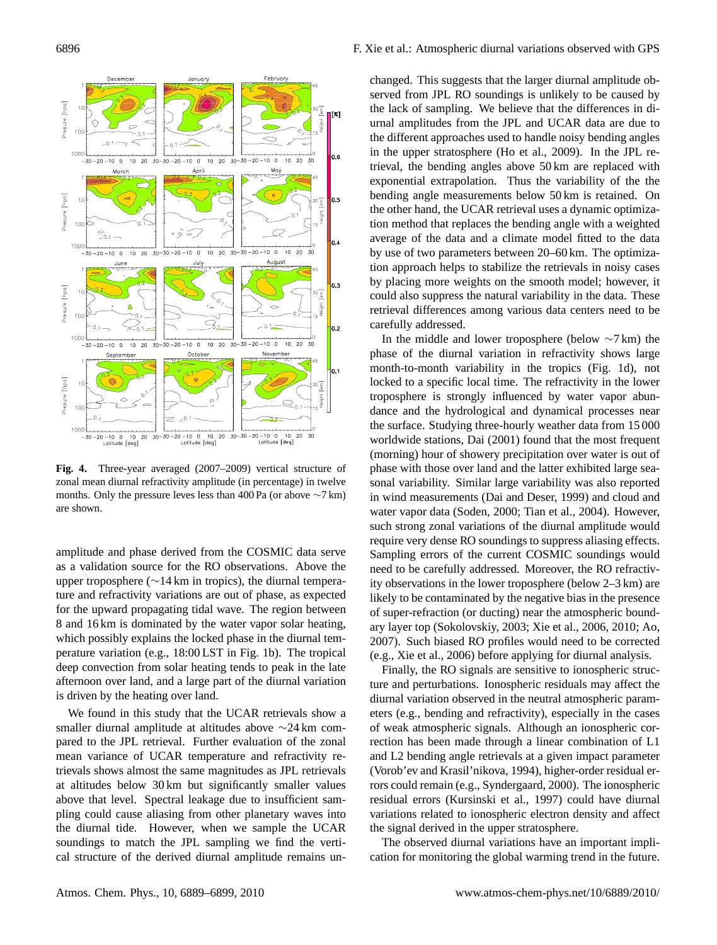

**Fig. 4.** Three-year averaged (2007–2009) vertical structure of zonal mean diurnal refractivity amplitude (in percentage) in twelve months. Only the pressure leves less than 400 Pa (or above ∼7 km) are shown.

amplitude and phase derived from the COSMIC data serve as a validation source for the RO observations. Above the upper troposphere (∼14 km in tropics), the diurnal temperature and refractivity variations are out of phase, as expected for the upward propagating tidal wave. The region between 8 and 16 km is dominated by the water vapor solar heating, which possibly explains the locked phase in the diurnal temperature variation (e.g., 18:00 LST in Fig. 1b). The tropical deep convection from solar heating tends to peak in the late afternoon over land, and a large part of the diurnal variation is driven by the heating over land.

We found in this study that the UCAR retrievals show a smaller diurnal amplitude at altitudes above ∼24 km compared to the JPL retrieval. Further evaluation of the zonal mean variance of UCAR temperature and refractivity retrievals shows almost the same magnitudes as JPL retrievals at altitudes below 30 km but significantly smaller values above that level. Spectral leakage due to insufficient sampling could cause aliasing from other planetary waves into the diurnal tide. However, when we sample the UCAR soundings to match the JPL sampling we find the vertical structure of the derived diurnal amplitude remains unchanged. This suggests that the larger diurnal amplitude observed from JPL RO soundings is unlikely to be caused by the lack of sampling. We believe that the differences in diurnal amplitudes from the JPL and UCAR data are due to the different approaches used to handle noisy bending angles in the upper stratosphere (Ho et al., 2009). In the JPL retrieval, the bending angles above 50 km are replaced with exponential extrapolation. Thus the variability of the the bending angle measurements below 50 km is retained. On the other hand, the UCAR retrieval uses a dynamic optimization method that replaces the bending angle with a weighted average of the data and a climate model fitted to the data by use of two parameters between 20–60 km. The optimization approach helps to stabilize the retrievals in noisy cases by placing more weights on the smooth model; however, it could also suppress the natural variability in the data. These retrieval differences among various data centers need to be carefully addressed.

In the middle and lower troposphere (below ∼7 km) the phase of the diurnal variation in refractivity shows large month-to-month variability in the tropics (Fig. 1d), not locked to a specific local time. The refractivity in the lower troposphere is strongly influenced by water vapor abundance and the hydrological and dynamical processes near the surface. Studying three-hourly weather data from 15 000 worldwide stations, Dai (2001) found that the most frequent (morning) hour of showery precipitation over water is out of phase with those over land and the latter exhibited large seasonal variability. Similar large variability was also reported in wind measurements (Dai and Deser, 1999) and cloud and water vapor data (Soden, 2000; Tian et al., 2004). However, such strong zonal variations of the diurnal amplitude would require very dense RO soundings to suppress aliasing effects. Sampling errors of the current COSMIC soundings would need to be carefully addressed. Moreover, the RO refractivity observations in the lower troposphere (below 2–3 km) are likely to be contaminated by the negative bias in the presence of super-refraction (or ducting) near the atmospheric boundary layer top (Sokolovskiy, 2003; Xie et al., 2006, 2010; Ao, 2007). Such biased RO profiles would need to be corrected (e.g., Xie et al., 2006) before applying for diurnal analysis.

Finally, the RO signals are sensitive to ionospheric structure and perturbations. Ionospheric residuals may affect the diurnal variation observed in the neutral atmospheric parameters (e.g., bending and refractivity), especially in the cases of weak atmospheric signals. Although an ionospheric correction has been made through a linear combination of L1 and L2 bending angle retrievals at a given impact parameter (Vorob'ev and Krasil'nikova, 1994), higher-order residual errors could remain (e.g., Syndergaard, 2000). The ionospheric residual errors (Kursinski et al., 1997) could have diurnal variations related to ionospheric electron density and affect the signal derived in the upper stratosphere.

The observed diurnal variations have an important implication for monitoring the global warming trend in the future.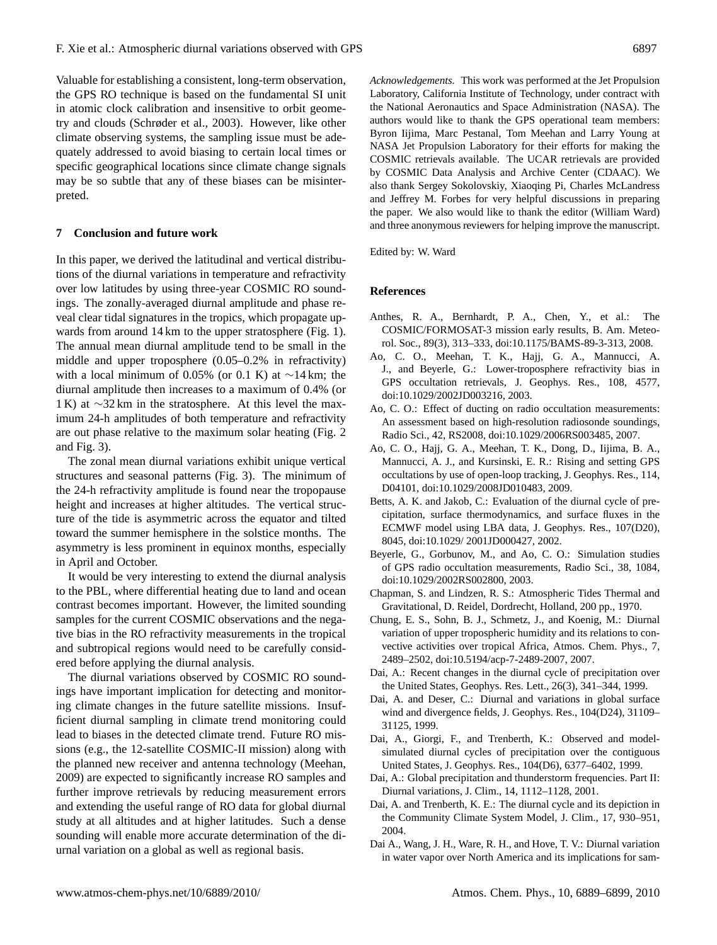Valuable for establishing a consistent, long-term observation, the GPS RO technique is based on the fundamental SI unit in atomic clock calibration and insensitive to orbit geometry and clouds (Schrøder et al., 2003). However, like other climate observing systems, the sampling issue must be adequately addressed to avoid biasing to certain local times or specific geographical locations since climate change signals may be so subtle that any of these biases can be misinterpreted.

#### **7 Conclusion and future work**

In this paper, we derived the latitudinal and vertical distributions of the diurnal variations in temperature and refractivity over low latitudes by using three-year COSMIC RO soundings. The zonally-averaged diurnal amplitude and phase reveal clear tidal signatures in the tropics, which propagate upwards from around 14 km to the upper stratosphere (Fig. 1). The annual mean diurnal amplitude tend to be small in the middle and upper troposphere (0.05–0.2% in refractivity) with a local minimum of 0.05% (or 0.1 K) at  $\sim$ 14 km; the diurnal amplitude then increases to a maximum of 0.4% (or 1 K) at ∼32 km in the stratosphere. At this level the maximum 24-h amplitudes of both temperature and refractivity are out phase relative to the maximum solar heating (Fig. 2 and Fig. 3).

The zonal mean diurnal variations exhibit unique vertical structures and seasonal patterns (Fig. 3). The minimum of the 24-h refractivity amplitude is found near the tropopause height and increases at higher altitudes. The vertical structure of the tide is asymmetric across the equator and tilted toward the summer hemisphere in the solstice months. The asymmetry is less prominent in equinox months, especially in April and October.

It would be very interesting to extend the diurnal analysis to the PBL, where differential heating due to land and ocean contrast becomes important. However, the limited sounding samples for the current COSMIC observations and the negative bias in the RO refractivity measurements in the tropical and subtropical regions would need to be carefully considered before applying the diurnal analysis.

The diurnal variations observed by COSMIC RO soundings have important implication for detecting and monitoring climate changes in the future satellite missions. Insufficient diurnal sampling in climate trend monitoring could lead to biases in the detected climate trend. Future RO missions (e.g., the 12-satellite COSMIC-II mission) along with the planned new receiver and antenna technology (Meehan, 2009) are expected to significantly increase RO samples and further improve retrievals by reducing measurement errors and extending the useful range of RO data for global diurnal study at all altitudes and at higher latitudes. Such a dense sounding will enable more accurate determination of the diurnal variation on a global as well as regional basis.

*Acknowledgements.* This work was performed at the Jet Propulsion Laboratory, California Institute of Technology, under contract with the National Aeronautics and Space Administration (NASA). The authors would like to thank the GPS operational team members:

Byron Iijima, Marc Pestanal, Tom Meehan and Larry Young at NASA Jet Propulsion Laboratory for their efforts for making the COSMIC retrievals available. The UCAR retrievals are provided by COSMIC Data Analysis and Archive Center (CDAAC). We also thank Sergey Sokolovskiy, Xiaoqing Pi, Charles McLandress and Jeffrey M. Forbes for very helpful discussions in preparing the paper. We also would like to thank the editor (William Ward) and three anonymous reviewers for helping improve the manuscript.

Edited by: W. Ward

#### **References**

- Anthes, R. A., Bernhardt, P. A., Chen, Y., et al.: The COSMIC/FORMOSAT-3 mission early results, B. Am. Meteorol. Soc., 89(3), 313–333, doi:10.1175/BAMS-89-3-313, 2008.
- Ao, C. O., Meehan, T. K., Hajj, G. A., Mannucci, A. J., and Beyerle, G.: Lower-troposphere refractivity bias in GPS occultation retrievals, J. Geophys. Res., 108, 4577, doi:10.1029/2002JD003216, 2003.
- Ao, C. O.: Effect of ducting on radio occultation measurements: An assessment based on high-resolution radiosonde soundings, Radio Sci., 42, RS2008, doi:10.1029/2006RS003485, 2007.
- Ao, C. O., Hajj, G. A., Meehan, T. K., Dong, D., Iijima, B. A., Mannucci, A. J., and Kursinski, E. R.: Rising and setting GPS occultations by use of open-loop tracking, J. Geophys. Res., 114, D04101, doi:10.1029/2008JD010483, 2009.
- Betts, A. K. and Jakob, C.: Evaluation of the diurnal cycle of precipitation, surface thermodynamics, and surface fluxes in the ECMWF model using LBA data, J. Geophys. Res., 107(D20), 8045, doi:10.1029/ 2001JD000427, 2002.
- Beyerle, G., Gorbunov, M., and Ao, C. O.: Simulation studies of GPS radio occultation measurements, Radio Sci., 38, 1084, doi:10.1029/2002RS002800, 2003.
- Chapman, S. and Lindzen, R. S.: Atmospheric Tides Thermal and Gravitational, D. Reidel, Dordrecht, Holland, 200 pp., 1970.
- Chung, E. S., Sohn, B. J., Schmetz, J., and Koenig, M.: Diurnal variation of upper tropospheric humidity and its relations to convective activities over tropical Africa, Atmos. Chem. Phys., 7, 2489–2502, doi:10.5194/acp-7-2489-2007, 2007.
- Dai, A.: Recent changes in the diurnal cycle of precipitation over the United States, Geophys. Res. Lett., 26(3), 341–344, 1999.
- Dai, A. and Deser, C.: Diurnal and variations in global surface wind and divergence fields, J. Geophys. Res., 104(D24), 31109– 31125, 1999.
- Dai, A., Giorgi, F., and Trenberth, K.: Observed and modelsimulated diurnal cycles of precipitation over the contiguous United States, J. Geophys. Res., 104(D6), 6377–6402, 1999.
- Dai, A.: Global precipitation and thunderstorm frequencies. Part II: Diurnal variations, J. Clim., 14, 1112–1128, 2001.
- Dai, A. and Trenberth, K. E.: The diurnal cycle and its depiction in the Community Climate System Model, J. Clim., 17, 930–951, 2004.
- Dai A., Wang, J. H., Ware, R. H., and Hove, T. V.: Diurnal variation in water vapor over North America and its implications for sam-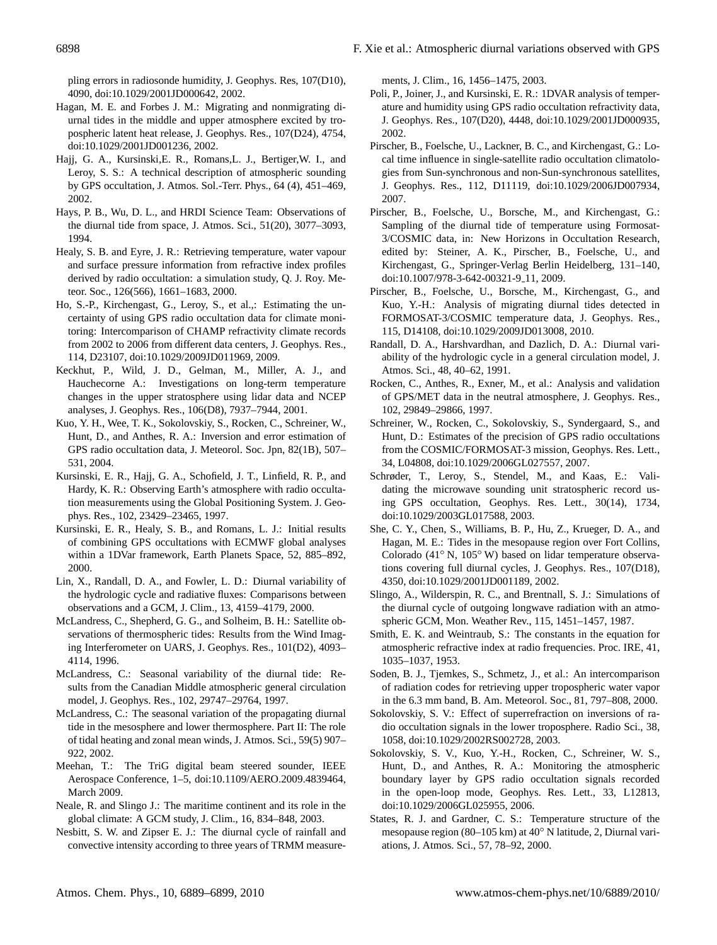pling errors in radiosonde humidity, J. Geophys. Res, 107(D10), 4090, doi:10.1029/2001JD000642, 2002.

- Hagan, M. E. and Forbes J. M.: Migrating and nonmigrating diurnal tides in the middle and upper atmosphere excited by tropospheric latent heat release, J. Geophys. Res., 107(D24), 4754, doi:10.1029/2001JD001236, 2002.
- Hajj, G. A., Kursinski,E. R., Romans,L. J., Bertiger,W. I., and Leroy, S. S.: A technical description of atmospheric sounding by GPS occultation, J. Atmos. Sol.-Terr. Phys., 64 (4), 451–469, 2002.
- Hays, P. B., Wu, D. L., and HRDI Science Team: Observations of the diurnal tide from space, J. Atmos. Sci., 51(20), 3077–3093, 1994.
- Healy, S. B. and Eyre, J. R.: Retrieving temperature, water vapour and surface pressure information from refractive index profiles derived by radio occultation: a simulation study, Q. J. Roy. Meteor. Soc., 126(566), 1661–1683, 2000.
- Ho, S.-P., Kirchengast, G., Leroy, S., et al.,: Estimating the uncertainty of using GPS radio occultation data for climate monitoring: Intercomparison of CHAMP refractivity climate records from 2002 to 2006 from different data centers, J. Geophys. Res., 114, D23107, doi:10.1029/2009JD011969, 2009.
- Keckhut, P., Wild, J. D., Gelman, M., Miller, A. J., and Hauchecorne A.: Investigations on long-term temperature changes in the upper stratosphere using lidar data and NCEP analyses, J. Geophys. Res., 106(D8), 7937–7944, 2001.
- Kuo, Y. H., Wee, T. K., Sokolovskiy, S., Rocken, C., Schreiner, W., Hunt, D., and Anthes, R. A.: Inversion and error estimation of GPS radio occultation data, J. Meteorol. Soc. Jpn, 82(1B), 507– 531, 2004.
- Kursinski, E. R., Hajj, G. A., Schofield, J. T., Linfield, R. P., and Hardy, K. R.: Observing Earth's atmosphere with radio occultation measurements using the Global Positioning System. J. Geophys. Res., 102, 23429–23465, 1997.
- Kursinski, E. R., Healy, S. B., and Romans, L. J.: Initial results of combining GPS occultations with ECMWF global analyses within a 1DVar framework, Earth Planets Space, 52, 885–892, 2000.
- Lin, X., Randall, D. A., and Fowler, L. D.: Diurnal variability of the hydrologic cycle and radiative fluxes: Comparisons between observations and a GCM, J. Clim., 13, 4159–4179, 2000.
- McLandress, C., Shepherd, G. G., and Solheim, B. H.: Satellite observations of thermospheric tides: Results from the Wind Imaging Interferometer on UARS, J. Geophys. Res., 101(D2), 4093– 4114, 1996.
- McLandress, C.: Seasonal variability of the diurnal tide: Results from the Canadian Middle atmospheric general circulation model, J. Geophys. Res., 102, 29747–29764, 1997.
- McLandress, C.: The seasonal variation of the propagating diurnal tide in the mesosphere and lower thermosphere. Part II: The role of tidal heating and zonal mean winds, J. Atmos. Sci., 59(5) 907– 922, 2002.
- Meehan, T.: The TriG digital beam steered sounder, IEEE Aerospace Conference, 1–5, doi:10.1109/AERO.2009.4839464, March 2009.
- Neale, R. and Slingo J.: The maritime continent and its role in the global climate: A GCM study, J. Clim., 16, 834–848, 2003.
- Nesbitt, S. W. and Zipser E. J.: The diurnal cycle of rainfall and convective intensity according to three years of TRMM measure-

ments, J. Clim., 16, 1456–1475, 2003.

- Poli, P., Joiner, J., and Kursinski, E. R.: 1DVAR analysis of temperature and humidity using GPS radio occultation refractivity data, J. Geophys. Res., 107(D20), 4448, doi:10.1029/2001JD000935, 2002.
- Pirscher, B., Foelsche, U., Lackner, B. C., and Kirchengast, G.: Local time influence in single-satellite radio occultation climatologies from Sun-synchronous and non-Sun-synchronous satellites, J. Geophys. Res., 112, D11119, doi:10.1029/2006JD007934, 2007.
- Pirscher, B., Foelsche, U., Borsche, M., and Kirchengast, G.: Sampling of the diurnal tide of temperature using Formosat-3/COSMIC data, in: New Horizons in Occultation Research, edited by: Steiner, A. K., Pirscher, B., Foelsche, U., and Kirchengast, G., Springer-Verlag Berlin Heidelberg, 131–140, doi:10.1007/978-3-642-00321-9 11, 2009.
- Pirscher, B., Foelsche, U., Borsche, M., Kirchengast, G., and Kuo, Y.-H.: Analysis of migrating diurnal tides detected in FORMOSAT-3/COSMIC temperature data, J. Geophys. Res., 115, D14108, doi:10.1029/2009JD013008, 2010.
- Randall, D. A., Harshvardhan, and Dazlich, D. A.: Diurnal variability of the hydrologic cycle in a general circulation model, J. Atmos. Sci., 48, 40–62, 1991.
- Rocken, C., Anthes, R., Exner, M., et al.: Analysis and validation of GPS/MET data in the neutral atmosphere, J. Geophys. Res., 102, 29849–29866, 1997.
- Schreiner, W., Rocken, C., Sokolovskiy, S., Syndergaard, S., and Hunt, D.: Estimates of the precision of GPS radio occultations from the COSMIC/FORMOSAT-3 mission, Geophys. Res. Lett., 34, L04808, doi:10.1029/2006GL027557, 2007.
- Schrøder, T., Leroy, S., Stendel, M., and Kaas, E.: Validating the microwave sounding unit stratospheric record using GPS occultation, Geophys. Res. Lett., 30(14), 1734, doi:10.1029/2003GL017588, 2003.
- She, C. Y., Chen, S., Williams, B. P., Hu, Z., Krueger, D. A., and Hagan, M. E.: Tides in the mesopause region over Fort Collins, Colorado (41◦ N, 105◦ W) based on lidar temperature observations covering full diurnal cycles, J. Geophys. Res., 107(D18), 4350, doi:10.1029/2001JD001189, 2002.
- Slingo, A., Wilderspin, R. C., and Brentnall, S. J.: Simulations of the diurnal cycle of outgoing longwave radiation with an atmospheric GCM, Mon. Weather Rev., 115, 1451–1457, 1987.
- Smith, E. K. and Weintraub, S.: The constants in the equation for atmospheric refractive index at radio frequencies. Proc. IRE, 41, 1035–1037, 1953.
- Soden, B. J., Tjemkes, S., Schmetz, J., et al.: An intercomparison of radiation codes for retrieving upper tropospheric water vapor in the 6.3 mm band, B. Am. Meteorol. Soc., 81, 797–808, 2000.
- Sokolovskiy, S. V.: Effect of superrefraction on inversions of radio occultation signals in the lower troposphere. Radio Sci., 38, 1058, doi:10.1029/2002RS002728, 2003.
- Sokolovskiy, S. V., Kuo, Y.-H., Rocken, C., Schreiner, W. S., Hunt, D., and Anthes, R. A.: Monitoring the atmospheric boundary layer by GPS radio occultation signals recorded in the open-loop mode, Geophys. Res. Lett., 33, L12813, doi:10.1029/2006GL025955, 2006.
- States, R. J. and Gardner, C. S.: Temperature structure of the mesopause region (80–105 km) at 40◦ N latitude, 2, Diurnal variations, J. Atmos. Sci., 57, 78–92, 2000.